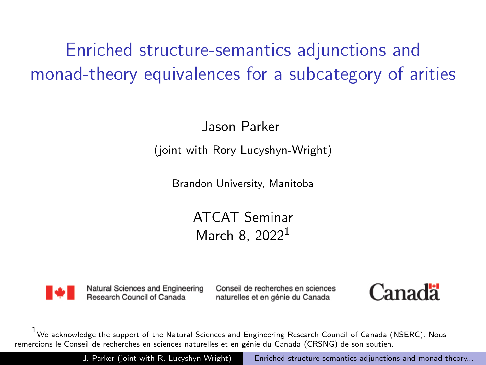<span id="page-0-0"></span>Enriched structure-semantics adjunctions and monad-theory equivalences for a subcategory of arities

Jason Parker

(joint with Rory Lucyshyn-Wright)

Brandon University, Manitoba

ATCAT Seminar March 8, 2022<sup>1</sup>



Natural Sciences and Engineering Research Council of Canada

Conseil de recherches en sciences naturelles et en génie du Canada



J. Parker (joint with R. Lucyshyn-Wright) Enriched structure-semantics adjunctions and monad-theory...

We acknowledge the support of the Natural Sciences and Engineering Research Council of Canada (NSERC). Nous remercions le Conseil de recherches en sciences naturelles et en génie du Canada (CRSNG) de son soutien.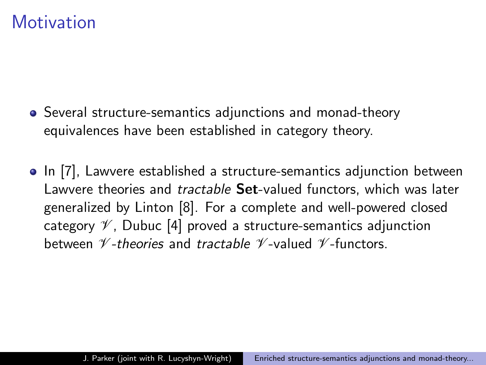#### **Motivation**

- Several structure-semantics adjunctions and monad-theory equivalences have been established in category theory.
- In [\[7\]](#page-26-0), Lawvere established a structure-semantics adjunction between Lawvere theories and *tractable* Set-valued functors, which was later generalized by Linton [\[8\]](#page-26-1). For a complete and well-powered closed category  $\mathscr V$ , Dubuc [\[4\]](#page-25-0) proved a structure-semantics adjunction between  $\mathscr V$ -theories and tractable  $\mathscr V$ -valued  $\mathscr V$ -functors.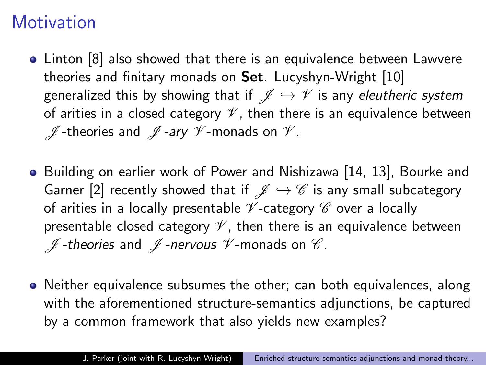# **Motivation**

- Linton [\[8\]](#page-26-1) also showed that there is an equivalence between Lawvere theories and finitary monads on Set. Lucyshyn-Wright [\[10\]](#page-26-2) generalized this by showing that if  $\mathscr{J} \hookrightarrow \mathscr{V}$  is any eleutheric system of arities in a closed category  $\mathscr V$ , then there is an equivalence between  $\not\!\!\!I$ -theories and  $\not\!\!\!I$ -ary  $\not\!\!\!V$ -monads on  $\not\!\!\!V$ .
- Building on earlier work of Power and Nishizawa [\[14,](#page-27-0) [13\]](#page-27-1), Bourke and Garner [\[2\]](#page-25-1) recently showed that if  $\mathscr{J} \hookrightarrow \mathscr{C}$  is any small subcategory of arities in a locally presentable  $\mathscr V$ -category  $\mathscr C$  over a locally presentable closed category  $\mathcal V$ , then there is an equivalence between  $\not\!\!\!\!\!/\,\,$  -theories and  $\not\!\!\!\!/\,\,$  -nervous  $\not\!\!\!\!/\,\,$  -monads on  $\,\mathscr{C}.$
- Neither equivalence subsumes the other; can both equivalences, along with the aforementioned structure-semantics adjunctions, be captured by a common framework that also yields new examples?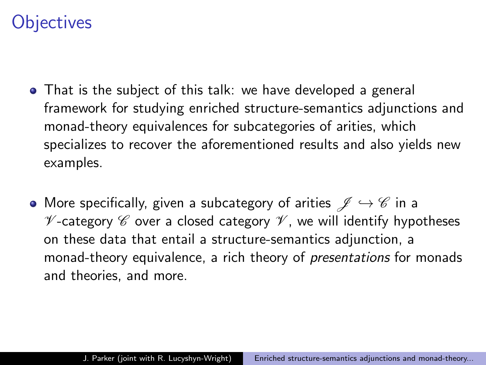# **Objectives**

- That is the subject of this talk: we have developed a general framework for studying enriched structure-semantics adjunctions and monad-theory equivalences for subcategories of arities, which specializes to recover the aforementioned results and also yields new examples.
- More specifically, given a subcategory of arities  $\mathscr{J} \hookrightarrow \mathscr{C}$  in a  $\mathscr V$ -category  $\mathscr C$  over a closed category  $\mathscr V$ , we will identify hypotheses on these data that entail a structure-semantics adjunction, a monad-theory equivalence, a rich theory of *presentations* for monads and theories, and more.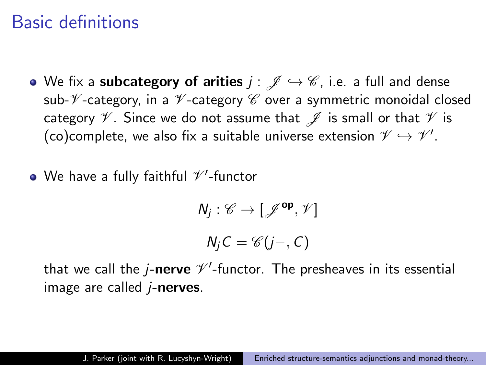### Basic definitions

- We fix a subcategory of arities  $j : \mathscr{J} \hookrightarrow \mathscr{C}$ , i.e. a full and dense sub- $\mathscr V$ -category, in a  $\mathscr V$ -category  $\mathscr C$  over a symmetric monoidal closed category  $\mathscr V$ . Since we do not assume that  $\mathscr J$  is small or that  $\mathscr V$  is (co)complete, we also fix a suitable universe extension  $\mathscr{V} \hookrightarrow \mathscr{V}'.$
- We have a fully faithful  $\mathscr{V}'$ -functor

$$
N_j: \mathscr{C} \to [\mathscr{J}^{\mathsf{op}}, \mathscr{V}]
$$

$$
N_j C = \mathscr{C}(j-, C)
$$

that we call the j- $\bm{r}$  nerve  $\mathscr{V}'$ -functor. The presheaves in its essential image are called  $i$ -nerves.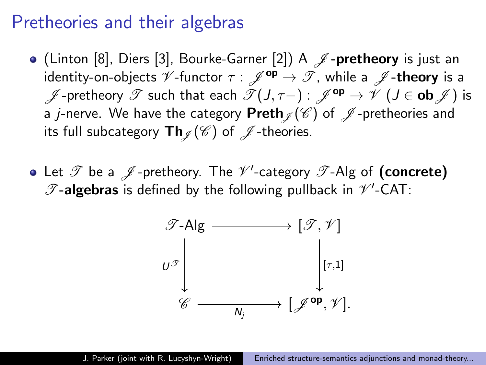#### Pretheories and their algebras

- (Linton [\[8\]](#page-26-1), Diers [\[3\]](#page-25-2), Bourke-Garner [\[2\]](#page-25-1)) A  $\mathscr J$ -pretheory is just an identity-on-objects  $\mathscr V$ -functor  $\tau : \mathscr J^{op} \to \mathscr T$ , while a  $\mathscr J$ -theory is a  $\mathscr{J}$ -pretheory  $\mathscr{T}$  such that each  $\mathscr{T}(J, \tau-) : \mathscr{J}^{\mathsf{op}} \to \mathscr{V}$  ( $J \in \mathsf{ob} \mathscr{J}$ ) is a j-nerve. We have the category Preth  $\mathcal{J}(\mathscr{C})$  of  $\mathscr{J}$ -pretheories and its full subcategory  $\textsf{Th}_{\mathscr{I}}(\mathscr{C})$  of  $\mathscr{J}$ -theories.
- Let  $\mathscr T$  be a  $\mathscr J$ -pretheory. The  $\mathscr V'$ -category  $\mathscr T$ -Alg of  $(\text{concrete})$  $\mathscr{T}$ -algebras is defined by the following pullback in  $\mathscr{V}'$ -CAT:

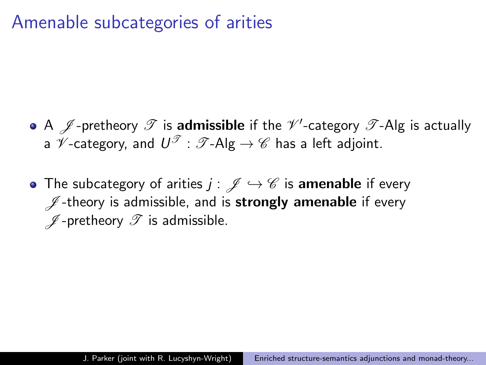### Amenable subcategories of arities

- A  $\mathscr J$ -pretheory  $\mathscr T$  is  $\mathsf a$ dmissible if the  $\mathscr V'$ -category  $\mathscr T$ -Alg is actually a  $\mathscr V$ -category, and  $\mathsf{U}^\mathscr T:\mathscr T\text{-}\mathsf{Alg}\to\mathscr C$  has a left adjoint.
- The subcategory of arities  $j : \mathscr{J} \hookrightarrow \mathscr{C}$  is amenable if every  $\mathscr{J}$ -theory is admissible, and is **strongly amenable** if every  $\n *J*$ -pretheory  $\mathscr T$  is admissible.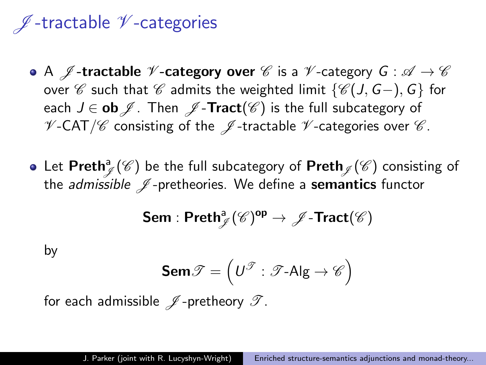# $\n *I* -tractable  $\n *V* -categories$$

- A  $\mathscr J$ -tractable  $\mathscr V$ -category over  $\mathscr C$  is a  $\mathscr V$ -category  $G : \mathscr A \to \mathscr C$ over C such that C admits the weighted limit  $\{C(J, G-), G\}$  for each  $J \in$  ob  $\mathscr{J}$ . Then  $\mathscr{J}$ -Tract( $\mathscr{C}$ ) is the full subcategory of  $V$ -CAT/ $\mathscr C$  consisting of the  $\mathscr J$ -tractable  $\mathscr V$ -categories over  $\mathscr C$ .
- Let  $\mathsf{Preth}_{\mathscr{J}}^{\mathsf{a}}(\mathscr{C})$  be the full subcategory of  $\mathsf{Preth}_{\mathscr{J}}(\mathscr{C})$  consisting of the *admissible*  $\mathcal{J}$ -pretheories. We define a **semantics** functor

$$
\mathsf{Sem} : \mathsf{Preth}^{\mathsf{a}}_{\mathscr{J}}(\mathscr{C})^{\mathsf{op}} \to \mathscr{J}\text{-}\mathsf{Tract}(\mathscr{C})
$$

by

$$
\textbf{Sem}\mathscr{T} = \left(\textit{U}^{\mathscr{T}}:\mathscr{T}\text{-}\textsf{Alg} \to \mathscr{C}\right)
$$

for each admissible  $\mathscr J$ -pretheory  $\mathscr T$ .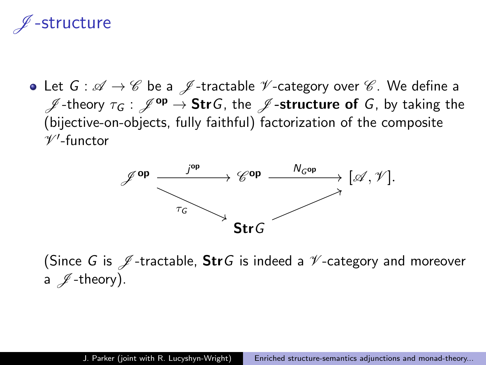# structure

• Let  $G : \mathscr{A} \to \mathscr{C}$  be a  $\mathscr{J}$ -tractable  $\mathscr{V}$ -category over  $\mathscr{C}$ . We define a  $\mathscr{J}$ -theory  $\tau_G$  :  $\mathscr{J}^{op} \to$  StrG, the  $\mathscr{J}$ -structure of G, by taking the (bijective-on-objects, fully faithful) factorization of the composite  $\mathscr{V}'$ -functor



(Since G is  $\mathscr J$ -tractable, StrG is indeed a  $\mathscr V$ -category and moreover a  $\n *I*-theory).$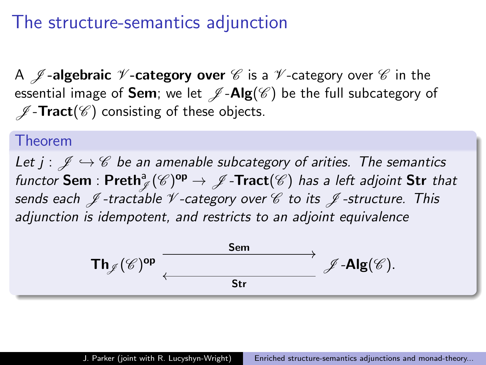### The structure-semantics adjunction

A  $\mathscr J$ -algebraic  $\mathscr V$ -category over  $\mathscr C$  is a  $\mathscr V$ -category over  $\mathscr C$  in the essential image of **Sem**; we let  $\mathscr{J}\text{-}\mathbf{Alg}(\mathscr{C})$  be the full subcategory of  $\mathscr{J}$ -Tract( $\mathscr{C}$ ) consisting of these objects.

#### Theorem

Let  $j : \mathcal{J} \hookrightarrow \mathcal{C}$  be an amenable subcategory of arities. The semantics functor  $\mathsf{Sem} : \mathsf{Preth}^{\mathsf{a}}_{\mathscr{J}}(\mathscr{C})^{\mathsf{op}} \to \mathscr{J}\text{-}\mathsf{Tract}(\mathscr{C})$  has a left adjoint  $\mathsf{Str}$  that sends each  $\mathscr J$ -tractable  $\mathscr V$ -category over  $\mathscr C$  to its  $\mathscr J$ -structure. This adjunction is idempotent, and restricts to an adjoint equivalence

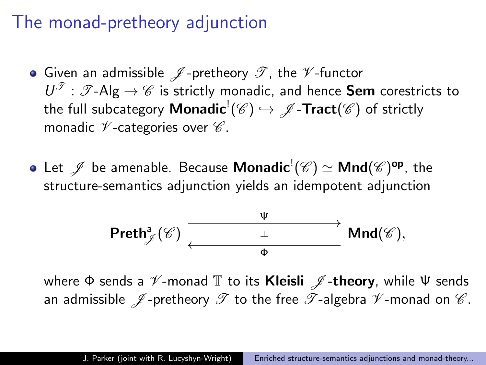### The monad-pretheory adjunction

- Given an admissible  $\mathscr J$ -pretheory  $\mathscr T$ , the  $\mathscr V$ -functor  $U^{\mathscr{I}}:\mathscr{T}$ -Alg  $\rightarrow \mathscr{C}$  is strictly monadic, and hence **Sem** corestricts to the full subcategory  $\mathsf{Monadic}^! (\mathscr{C}) \hookrightarrow \mathscr{J} \text{-}\mathsf{Tract}(\mathscr{C})$  of strictly monadic  $\nu$ -categories over  $\mathscr{C}$ .
- Let  $\mathscr J$  be amenable. Because  $\mathsf{Monadic}^!(\mathscr C) \simeq \mathsf{Mnd}(\mathscr C)^{\mathsf{op}},$  the structure-semantics adjunction yields an idempotent adjunction

$$
\text{Preth}^a_{\mathscr{J}}(\mathscr{C}) \xrightarrow[\text{$\varphi$}]{\underbrace{\qquad \qquad \psi \qquad \qquad }} \text{Mnd}(\mathscr{C}),
$$

where  $\Phi$  sends a  $\mathscr V$ -monad  $\mathbb T$  to its **Kleisli**  $\mathscr J$ -theory, while  $\Psi$  sends an admissible  $\mathscr J$ -pretheory  $\mathscr T$  to the free  $\mathscr T$ -algebra  $\mathscr V$ -monad on  $\mathscr C$ .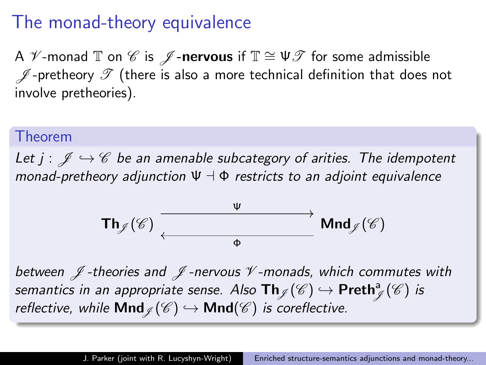### The monad-theory equivalence

A  $\mathscr V$ -monad  $\mathbb T$  on  $\mathscr C$  is  $\mathscr J$ -nervous if  $\mathbb T \cong \mathsf U \mathscr T$  for some admissible  $\mathscr J$ -pretheory  $\mathscr T$  (there is also a more technical definition that does not involve pretheories).

#### Theorem

Let  $j : \mathcal{J} \hookrightarrow \mathcal{C}$  be an amenable subcategory of arities. The idempotent monad-pretheory adjunction  $\Psi \dashv \Phi$  restricts to an adjoint equivalence



between  $\mathscr J$ -theories and  $\mathscr J$ -nervous  $\mathscr V$ -monads, which commutes with semantics in an appropriate sense. Also  $\mathsf{Th}_\mathscr{J}(\mathscr{C}) \hookrightarrow \mathsf{Preth}^{\mathsf{a}}_\mathscr{J}(\mathscr{C})$  is reflective, while **Mnd**  $\ell(\mathscr{C}) \hookrightarrow$  **Mnd**( $\mathscr{C}$ ) is coreflective.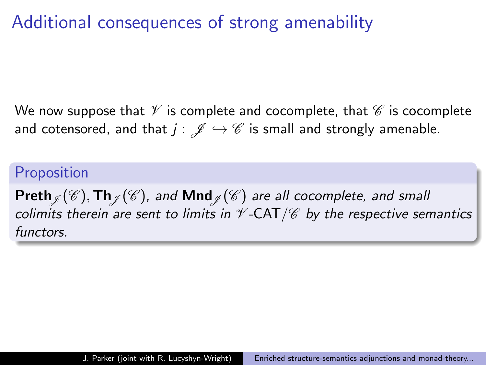# Additional consequences of strong amenability

We now suppose that  $\mathcal V$  is complete and cocomplete, that  $\mathcal C$  is cocomplete and cotensored, and that  $j : \mathscr{J} \hookrightarrow \mathscr{C}$  is small and strongly amenable.

#### **Proposition**

Preth  $\mathcal{J}(\mathscr{C}),$  Th $\mathcal{J}(\mathscr{C})$ , and Mnd  $\mathcal{J}(\mathscr{C})$  are all cocomplete, and small colimits therein are sent to limits in  $\mathscr V$ -CAT/ $\mathscr C$  by the respective semantics functors.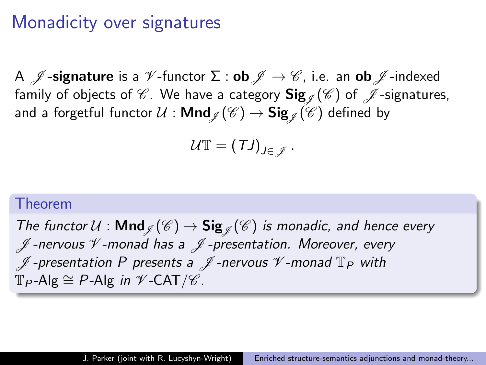### Monadicity over signatures

A  $\mathcal{J}$ **-signature** is a  $\mathcal{V}$ -functor  $\Sigma$  : **ob**  $\mathcal{J} \to \mathcal{C}$ , i.e. an **ob**  $\mathcal{J}$ -indexed family of objects of  $\mathscr C$ . We have a category  $\text{Sig}_{\mathscr I} (\mathscr C)$  of  $\mathscr J$ -signatures, and a forgetful functor  $\mathcal U$  :  $\mathsf{Mnd}_\mathscr{J}(\mathscr{C}) \to \mathsf{Sig}_\mathscr{J}(\mathscr{C})$  defined by

$$
\mathcal{U}\mathbb{T}=(\mathcal{T}J)_{J\in\mathscr{J}}.
$$

#### Theorem

The functor  $U : \mathsf{Mnd}_{\mathscr{J}}(\mathscr{C}) \to \mathsf{Sig}_{\mathscr{J}}(\mathscr{C})$  is monadic, and hence every  $\not\!\!\!I$ -nervous  $\not\!\!\!V$ -monad has a  $\not\!\!\!I$ -presentation. Moreover, every  $\mathscr I$ -presentation P presents a  $\mathscr I$ -nervous  $\mathscr V$ -monad  $\mathbb T_P$  with  $\mathbb{T}_P$ -Alg  $\cong$  P-Alg in  $\mathscr{V}$ -CAT/ $\mathscr{C}$ .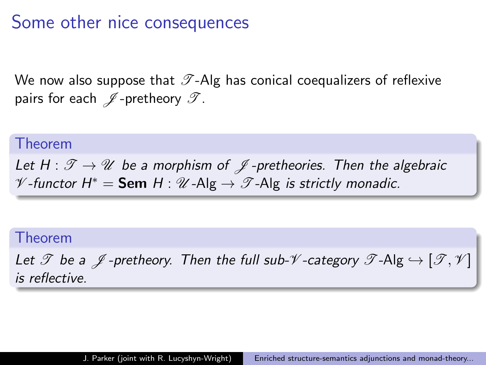### Some other nice consequences

We now also suppose that  $\mathscr T$ -Alg has conical coequalizers of reflexive pairs for each  $\mathscr J$ -pretheory  $\mathscr T$ .

#### Theorem

Let  $H: \mathscr{T} \to \mathscr{U}$  be a morphism of  $\mathscr{J}$ -pretheories. Then the algebraic  $\mathscr V$ -functor  $H^* = \mathsf{Sem}\ H : \mathscr U\text{-}\mathsf{Alg} \to \mathscr T\text{-}\mathsf{Alg}$  is strictly monadic.

#### Theorem

Let  $\mathscr T$  be a  $\mathscr J$ -pretheory. Then the full sub- $\mathscr V$ -category  $\mathscr T$ -Alg  $\hookrightarrow$   $[\mathscr T,\mathscr V]$ is reflective.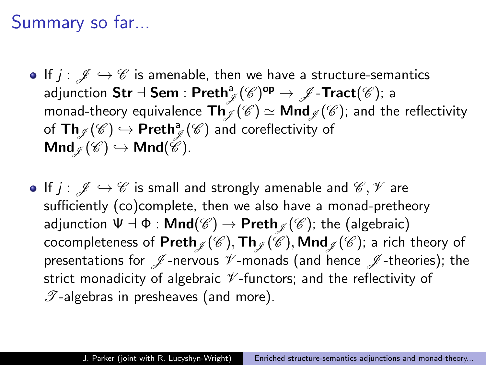## Summary so far...

- If  $j : \mathscr{J} \hookrightarrow \mathscr{C}$  is amenable, then we have a structure-semantics adjunction  $\mathsf{Str}\dashv \mathsf{Sem} : \mathsf{Preth}^{\mathsf{a}}_{\mathscr{J}}(\mathscr{C})^{\mathsf{op}} \to \mathscr{J}\text{-}\mathsf{Tract}(\mathscr{C});$  a monad-theory equivalence  $\text{Th}_{\mathscr{I}}(\mathscr{C}) \simeq \text{Mnd}_{\mathscr{I}}(\mathscr{C})$ ; and the reflectivity of  $\mathsf{Th}_{\mathscr{J}}(\mathscr{C}) \hookrightarrow \mathsf{Preth}^{\mathsf{a}}_{\mathscr{J}}(\mathscr{C})$  and coreflectivity of  $\mathsf{Mnd}_{\mathscr{C}}(\mathscr{C}) \hookrightarrow \mathsf{Mnd}(\mathscr{C}).$
- If  $j : \mathscr{J} \hookrightarrow \mathscr{C}$  is small and strongly amenable and  $\mathscr{C}, \mathscr{V}$  are sufficiently (co)complete, then we also have a monad-pretheory adjunction  $\Psi \dashv \Phi : \mathsf{Mnd}(\mathscr{C}) \to \mathsf{Preth}_{\mathscr{I}}(\mathscr{C})$ ; the (algebraic) cocompleteness of Preth  $\mathcal{J}(\mathscr{C})$ , Th $\mathcal{J}(\mathscr{C})$ , Mnd  $\mathcal{J}(\mathscr{C})$ ; a rich theory of presentations for  $\mathscr J$ -nervous  $\mathscr V$ -monads (and hence  $\mathscr J$ -theories); the strict monadicity of algebraic  $\mathscr V$ -functors; and the reflectivity of  $\mathscr{T}$ -algebras in presheaves (and more).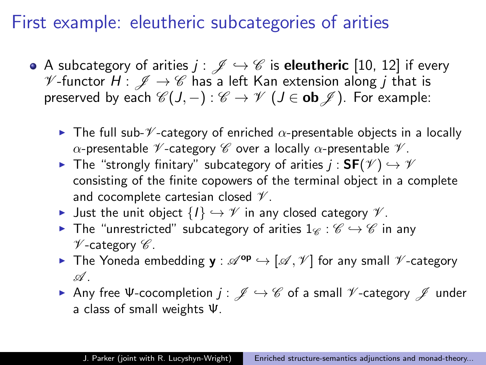### First example: eleutheric subcategories of arities

- A subcategory of arities  $j : \mathscr{J} \hookrightarrow \mathscr{C}$  is eleutheric [\[10,](#page-26-2) [12\]](#page-27-2) if every  $\mathscr V$ -functor  $H: \mathscr J \to \mathscr C$  has a left Kan extension along j that is preserved by each  $\mathscr{C}(J, -) : \mathscr{C} \to \mathscr{V}$  ( $J \in$  ob  $\mathscr{J}$ ). For example:
	- **Figure 1** The full sub- $\mathscr V$ -category of enriched  $\alpha$ -presentable objects in a locally α-presentable  $\mathcal V$ -category  $\mathcal C$  over a locally α-presentable  $\mathcal V$ .
	- **►** The "strongly finitary" subcategory of arities  $j : SF(\mathscr{V}) \hookrightarrow \mathscr{V}$ consisting of the finite copowers of the terminal object in a complete and cocomplete cartesian closed  $\mathcal V$ .
	- $\triangleright$  Just the unit object  $\{I\} \hookrightarrow \mathscr{V}$  in any closed category  $\mathscr{V}$ .
	- **►** The "unrestricted" subcategory of arities  $1_{\mathscr{C}} : \mathscr{C} \hookrightarrow \mathscr{C}$  in any  $\mathscr V$ -category  $\mathscr C$ .
	- ▶ The Yoneda embedding  $y : \mathscr{A}^{op} \hookrightarrow [\mathscr{A}, \mathscr{V}]$  for any small  $\mathscr{V}$ -category  $\mathscr A$  .
	- Any free Ψ-cocompletion  $j: \mathscr{J} \hookrightarrow \mathscr{C}$  of a small  $\mathscr{V}$ -category  $\mathscr{J}$  under a class of small weights Ψ.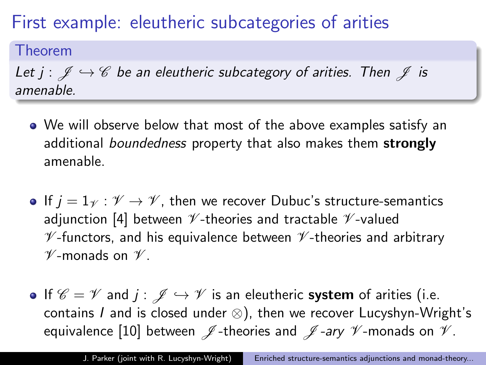# First example: eleutheric subcategories of arities

#### Theorem

Let  $j : \mathcal{J} \hookrightarrow \mathcal{C}$  be an eleutheric subcategory of arities. Then  $\mathcal{J}$  is amenable.

- We will observe below that most of the above examples satisfy an additional boundedness property that also makes them strongly amenable.
- If  $j = 1<sup>\psi</sup>$ :  $\mathscr{V} \rightarrow \mathscr{V}$ , then we recover Dubuc's structure-semantics adjunction [\[4\]](#page-25-0) between  $\nu$ -theories and tractable  $\nu$ -valued  $V$ -functors, and his equivalence between  $V$ -theories and arbitrary  $\mathscr V$ -monads on  $\mathscr V$ .
- If  $\mathscr{C} = \mathscr{V}$  and  $j : \mathscr{J} \hookrightarrow \mathscr{V}$  is an eleutheric system of arities (i.e. contains  $I$  and is closed under  $\otimes$ ), then we recover Lucyshyn-Wright's equivalence [\[10\]](#page-26-2) between  $\mathscr J$ -theories and  $\mathscr J$ -ary  $\mathscr V$ -monads on  $\mathscr V$ .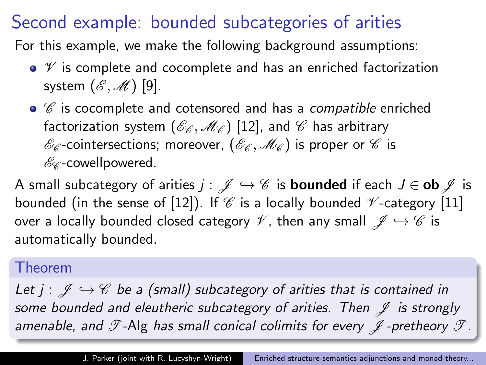### Second example: bounded subcategories of arities

For this example, we make the following background assumptions:

- $\bullet$   $\mathcal V$  is complete and cocomplete and has an enriched factorization system  $(\mathscr{E},\mathscr{M})$  [\[9\]](#page-26-3).
- $\bullet$   $\mathscr C$  is cocomplete and cotensored and has a *compatible* enriched factorization system  $(\mathscr{E}_{\mathscr{C}},\mathscr{M}_{\mathscr{C}})$  [\[12\]](#page-27-2), and  $\mathscr{C}$  has arbitrary  $\mathscr{E}_{\mathscr{C}}$ -cointersections; moreover,  $(\mathscr{E}_{\mathscr{C}},\mathscr{M}_{\mathscr{C}})$  is proper or  $\mathscr{C}$  is  $\mathscr{E}_{\mathscr{C}}$ -cowellpowered.

A small subcategory of arities  $j : \mathscr{J} \hookrightarrow \mathscr{C}$  is **bounded** if each  $J \in$  ob  $\mathscr{J}$  is bounded (in the sense of [\[12\]](#page-27-2)). If  $\mathscr C$  is a locally bounded  $\mathscr V$ -category [\[11\]](#page-27-3) over a locally bounded closed category  $\mathscr{V}$ , then any small  $\mathscr{J} \hookrightarrow \mathscr{C}$  is automatically bounded.

#### Theorem

Let  $j : \mathscr{J} \hookrightarrow \mathscr{C}$  be a (small) subcategory of arities that is contained in some bounded and eleutheric subcategory of arities. Then  $\mathscr J$  is strongly amenable, and  $\mathscr T$ -Alg has small conical colimits for every  $\mathscr J$ -pretheory  $\mathscr T$ .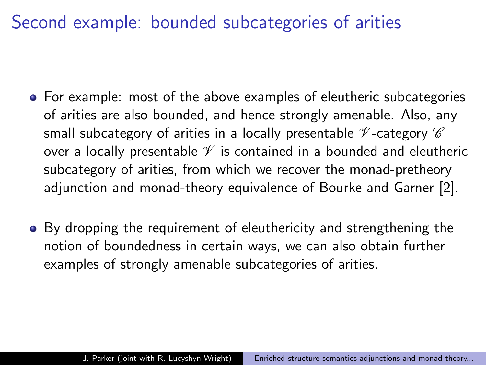### Second example: bounded subcategories of arities

- For example: most of the above examples of eleutheric subcategories of arities are also bounded, and hence strongly amenable. Also, any small subcategory of arities in a locally presentable  $\mathcal V$ -category  $\mathcal C$ over a locally presentable  $\mathscr V$  is contained in a bounded and eleutheric subcategory of arities, from which we recover the monad-pretheory adjunction and monad-theory equivalence of Bourke and Garner [\[2\]](#page-25-1).
- By dropping the requirement of eleuthericity and strengthening the notion of boundedness in certain ways, we can also obtain further examples of strongly amenable subcategories of arities.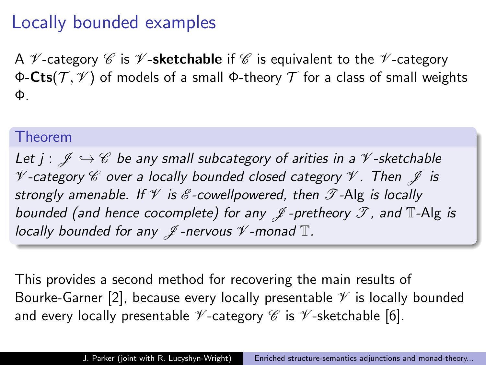### Locally bounded examples

A  $\mathcal V$ -category  $\mathcal C$  is  $\mathcal V$ -sketchable if  $\mathcal C$  is equivalent to the  $\mathcal V$ -category Φ-Cts( $\mathcal{T}, \mathcal{V}$ ) of models of a small Φ-theory  $\mathcal T$  for a class of small weights Φ.

#### Theorem

Let  $j : \mathcal{J} \hookrightarrow \mathcal{C}$  be any small subcategory of arities in a  $\mathcal{V}$ -sketchable  $\mathscr V$ -category  $\mathscr C$  over a locally bounded closed category  $\mathscr V$ . Then  $\mathscr J$  is strongly amenable. If  $\mathcal V$  is  $\mathcal E$ -cowellpowered, then  $\mathcal T$ -Alg is locally bounded (and hence cocomplete) for any  $\mathscr J$ -pretheory  $\mathscr T$ , and  $\mathbb T$ -Alg is locally bounded for any  $\mathscr J$ -nervous  $\mathscr V$ -monad  $\mathbb T$ .

This provides a second method for recovering the main results of Bourke-Garner [\[2\]](#page-25-1), because every locally presentable  $\mathscr V$  is locally bounded and every locally presentable  $\mathscr V$ -category  $\mathscr C$  is  $\mathscr V$ -sketchable [\[6\]](#page-26-4).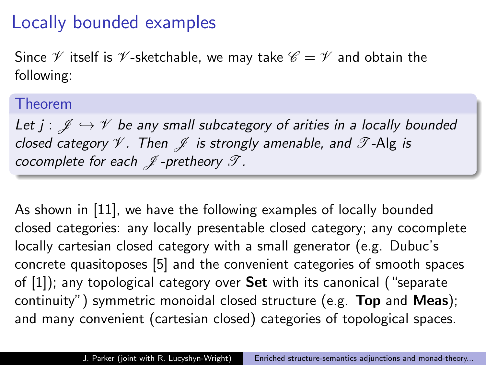# Locally bounded examples

Since  $\mathscr V$  itself is  $\mathscr V$ -sketchable, we may take  $\mathscr C = \mathscr V$  and obtain the following:

#### Theorem

Let  $j : \mathscr{J} \hookrightarrow \mathscr{V}$  be any small subcategory of arities in a locally bounded closed category  $\mathcal V$ . Then  $\mathcal J$  is strongly amenable, and  $\mathcal T$ -Alg is cocomplete for each  $\mathcal J$ -pretheory  $\mathcal T$ .

As shown in [\[11\]](#page-27-3), we have the following examples of locally bounded closed categories: any locally presentable closed category; any cocomplete locally cartesian closed category with a small generator (e.g. Dubuc's concrete quasitoposes [\[5\]](#page-25-3) and the convenient categories of smooth spaces of [\[1\]](#page-25-4)); any topological category over Set with its canonical ("separate continuity") symmetric monoidal closed structure (e.g. Top and Meas); and many convenient (cartesian closed) categories of topological spaces.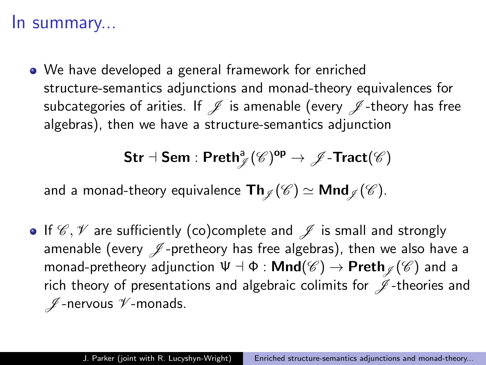#### In summary...

We have developed a general framework for enriched structure-semantics adjunctions and monad-theory equivalences for subcategories of arities. If  $\mathcal I$  is amenable (every  $\mathcal I$ -theory has free algebras), then we have a structure-semantics adjunction

$$
\mathsf{Str}\dashv \mathsf{Sem} : \mathsf{Preth}^{\mathsf{a}}_{\mathscr{J}}(\mathscr{C})^{\mathsf{op}} \to \mathscr{J}\text{-}\mathsf{Tract}(\mathscr{C})
$$

and a monad-theory equivalence  $\textsf{Th}_{\mathscr{I}}(\mathscr{C}) \simeq \textsf{Mnd}_{\mathscr{I}}(\mathscr{C}).$ 

• If  $\mathscr{C}, \mathscr{V}$  are sufficiently (co)complete and  $\mathscr{J}$  is small and strongly amenable (every  $\mathscr J$ -pretheory has free algebras), then we also have a monad-pretheory adjunction  $\Psi \dashv \Phi : \mathsf{Mnd}(\mathscr{C}) \to \mathsf{Preth}_{\mathscr{I}}(\mathscr{C})$  and a rich theory of presentations and algebraic colimits for  $\mathscr J$ -theories and  $\n *I*$  -nervous  $\n *V*$ -monads.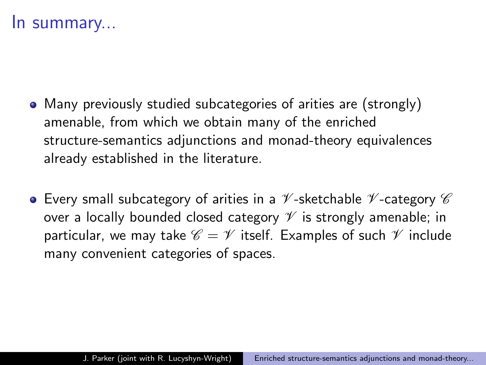#### In summary...

- Many previously studied subcategories of arities are (strongly) amenable, from which we obtain many of the enriched structure-semantics adjunctions and monad-theory equivalences already established in the literature.
- $\bullet$  Every small subcategory of arities in a  $\mathscr V$ -sketchable  $\mathscr V$ -category  $\mathscr C$ over a locally bounded closed category  $\mathscr V$  is strongly amenable; in particular, we may take  $\mathscr{C} = \mathscr{V}$  itself. Examples of such  $\mathscr{V}$  include many convenient categories of spaces.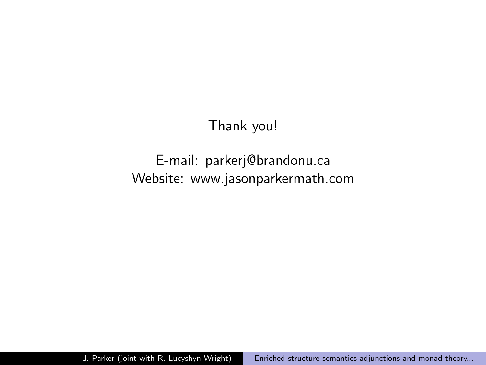#### Thank you!

#### E-mail: parkerj@brandonu.ca Website: www.jasonparkermath.com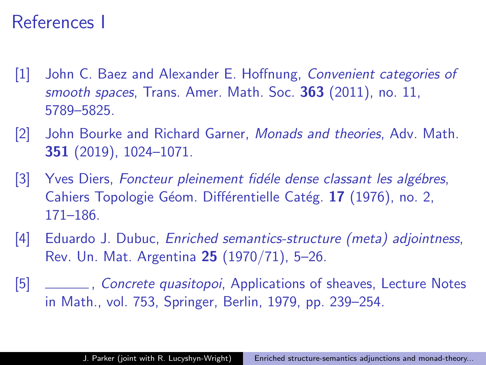### References I

- <span id="page-25-4"></span>[1] John C. Baez and Alexander E. Hoffnung, Convenient categories of smooth spaces, Trans. Amer. Math. Soc. 363 (2011), no. 11, 5789–5825.
- <span id="page-25-1"></span>[2] John Bourke and Richard Garner, Monads and theories, Adv. Math. 351 (2019), 1024–1071.
- <span id="page-25-2"></span>[3] Yves Diers, Foncteur pleinement fidéle dense classant les algébres, Cahiers Topologie Géom. Différentielle Catég. 17 (1976), no. 2, 171–186.
- <span id="page-25-0"></span>[4] Eduardo J. Dubuc, Enriched semantics-structure (meta) adjointness, Rev. Un. Mat. Argentina 25 (1970/71), 5–26.

<span id="page-25-3"></span>[5] Johnston Concrete quasitopoi, Applications of sheaves, Lecture Notes in Math., vol. 753, Springer, Berlin, 1979, pp. 239–254.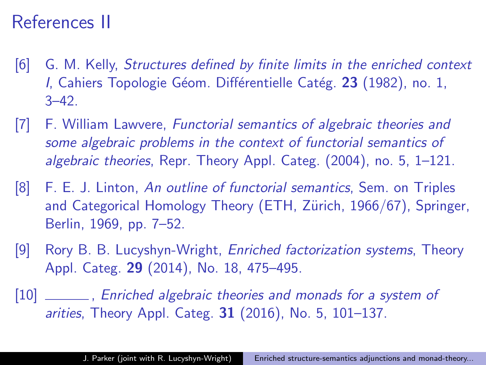# References II

- <span id="page-26-4"></span>[6] G. M. Kelly, Structures defined by finite limits in the enriched context I, Cahiers Topologie Géom. Différentielle Catég. 23 (1982), no. 1,  $3 - 42$ .
- <span id="page-26-0"></span>[7] F. William Lawvere, Functorial semantics of algebraic theories and some algebraic problems in the context of functorial semantics of algebraic theories, Repr. Theory Appl. Categ. (2004), no. 5, 1–121.
- <span id="page-26-1"></span>[8] F. E. J. Linton, An outline of functorial semantics, Sem. on Triples and Categorical Homology Theory (ETH, Zürich, 1966/67), Springer, Berlin, 1969, pp. 7–52.
- <span id="page-26-3"></span>[9] Rory B. B. Lucyshyn-Wright, Enriched factorization systems, Theory Appl. Categ. 29 (2014), No. 18, 475–495.

<span id="page-26-2"></span>[10] \_\_\_\_\_\_\_, Enriched algebraic theories and monads for a system of arities, Theory Appl. Categ. 31 (2016), No. 5, 101–137.